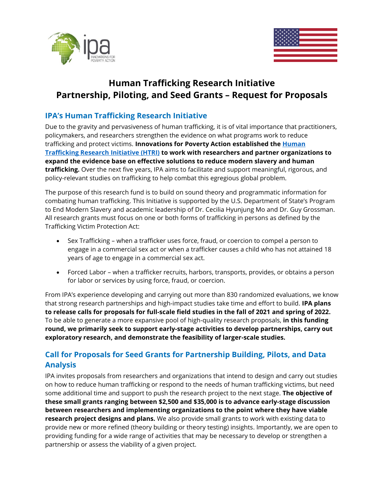



# **Human Trafficking Research Initiative Partnership, Piloting, and Seed Grants – Request for Proposals**

#### **IPA's Human Trafficking Research Initiative**

Due to the gravity and pervasiveness of human trafficking, it is of vital importance that practitioners, policymakers, and researchers strengthen the evidence on what programs work to reduce trafficking and protect victims. **Innovations for Poverty Action established the [Human](https://www.poverty-action.org/human-trafficking-research-initiative)  [Trafficking Research Initiative](https://www.poverty-action.org/human-trafficking-research-initiative) (HTRI) to work with researchers and partner organizations to expand the evidence base on effective solutions to reduce modern slavery and human trafficking.** Over the next five years, IPA aims to facilitate and support meaningful, rigorous, and policy-relevant studies on trafficking to help combat this egregious global problem.

The purpose of this research fund is to build on sound theory and programmatic information for combating human trafficking. This Initiative is supported by the U.S. Department of State's Program to End Modern Slavery and academic leadership of Dr. Cecilia Hyunjung Mo and Dr. Guy Grossman. All research grants must focus on one or both forms of trafficking in persons as defined by the Trafficking Victim Protection Act:

- Sex Trafficking when a trafficker uses force, fraud, or coercion to compel a person to engage in a commercial sex act or when a trafficker causes a child who has not attained 18 years of age to engage in a commercial sex act.
- Forced Labor when a trafficker recruits, harbors, transports, provides, or obtains a person for labor or services by using force, fraud, or coercion.

From IPA's experience developing and carrying out more than 830 randomized evaluations, we know that strong research partnerships and high-impact studies take time and effort to build. **IPA plans to release calls for proposals for full-scale field studies in the fall of 2021 and spring of 2022.**  To be able to generate a more expansive pool of high-quality research proposals, **in this funding round, we primarily seek to support early-stage activities to develop partnerships, carry out exploratory research, and demonstrate the feasibility of larger-scale studies.**

## **Call for Proposals for Seed Grants for Partnership Building, Pilots, and Data Analysis**

IPA invites proposals from researchers and organizations that intend to design and carry out studies on how to reduce human trafficking or respond to the needs of human trafficking victims, but need some additional time and support to push the research project to the next stage. **The objective of these small grants ranging between \$2,500 and \$35,000 is to advance early-stage discussion between researchers and implementing organizations to the point where they have viable research project designs and plans.** We also provide small grants to work with existing data to provide new or more refined (theory building or theory testing) insights. Importantly, we are open to providing funding for a wide range of activities that may be necessary to develop or strengthen a partnership or assess the viability of a given project.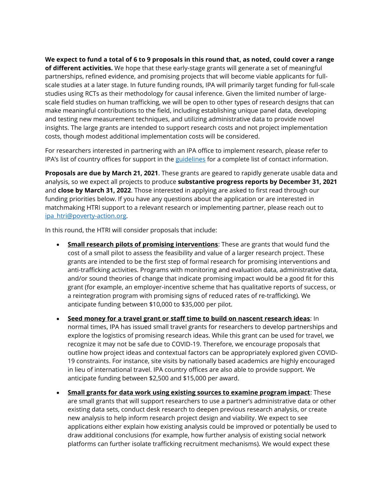**We expect to fund a total of 6 to 9 proposals in this round that, as noted, could cover a range of different activities.** We hope that these early-stage grants will generate a set of meaningful partnerships, refined evidence, and promising projects that will become viable applicants for fullscale studies at a later stage. In future funding rounds, IPA will primarily target funding for full-scale studies using RCTs as their methodology for causal inference. Given the limited number of largescale field studies on human trafficking, we will be open to other types of research designs that can make meaningful contributions to the field, including establishing unique panel data, developing and testing new measurement techniques, and utilizing administrative data to provide novel insights. The large grants are intended to support research costs and not project implementation costs, though modest additional implementation costs will be considered.

For researchers interested in partnering with an IPA office to implement research, please refer to IPA's list of country offices for support in the [guidelines](https://www.poverty-action.org/publication/human-trafficking-research-initiative-rfp-seed-round-guidelines) for a complete list of contact information.

**Proposals are due by March 21, 2021**. These grants are geared to rapidly generate usable data and analysis, so we expect all projects to produce **substantive progress reports by December 31, 2021** and **close by March 31, 2022**. Those interested in applying are asked to first read through our funding priorities below. If you have any questions about the application or are interested in matchmaking HTRI support to a relevant research or implementing partner, please reach out to [ipa\\_htri@poverty-action.org.](mailto:ipa_htri@poverty-action.org)

In this round, the HTRI will consider proposals that include:

- **Small research pilots of promising interventions**: These are grants that would fund the cost of a small pilot to assess the feasibility and value of a larger research project. These grants are intended to be the first step of formal research for promising interventions and anti-trafficking activities. Programs with monitoring and evaluation data, administrative data, and/or sound theories of change that indicate promising impact would be a good fit for this grant (for example, an employer-incentive scheme that has qualitative reports of success, or a reintegration program with promising signs of reduced rates of re-trafficking). We anticipate funding between \$10,000 to \$35,000 per pilot.
- **Seed money for a travel grant or staff time to build on nascent research ideas**: In normal times, IPA has issued small travel grants for researchers to develop partnerships and explore the logistics of promising research ideas. While this grant can be used for travel, we recognize it may not be safe due to COVID-19. Therefore, we encourage proposals that outline how project ideas and contextual factors can be appropriately explored given COVID-19 constraints. For instance, site visits by nationally based academics are highly encouraged in lieu of international travel. IPA country offices are also able to provide support. We anticipate funding between \$2,500 and \$15,000 per award.
- **Small grants for data work using existing sources to examine program impact**: These are small grants that will support researchers to use a partner's administrative data or other existing data sets, conduct desk research to deepen previous research analysis, or create new analysis to help inform research project design and viability. We expect to see applications either explain how existing analysis could be improved or potentially be used to draw additional conclusions (for example, how further analysis of existing social network platforms can further isolate trafficking recruitment mechanisms). We would expect these